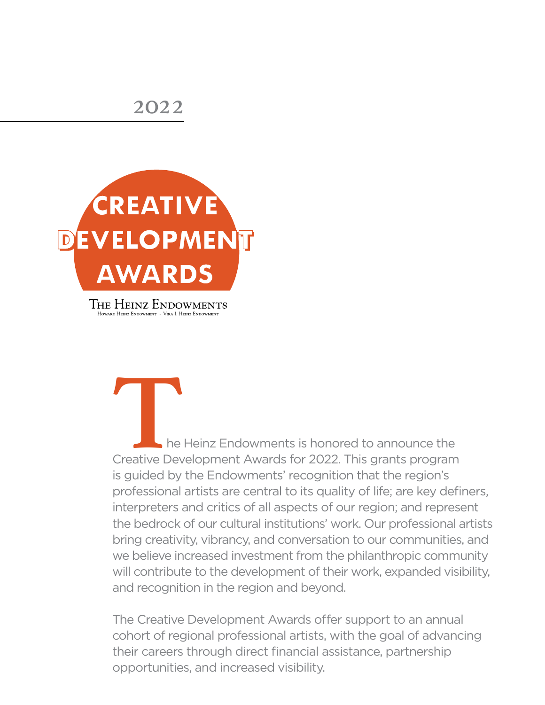

The Heinz Endowments is honored to announce the<br>Creative Development Awards for 2022. This grants program<br>is quided by the Endowments' recognition that the region's Creative Development Awards for 2022. This grants program is guided by the Endowments' recognition that the region's professional artists are central to its quality of life; are key definers, interpreters and critics of all aspects of our region; and represent the bedrock of our cultural institutions' work. Our professional artists bring creativity, vibrancy, and conversation to our communities, and we believe increased investment from the philanthropic community will contribute to the development of their work, expanded visibility, and recognition in the region and beyond.

The Creative Development Awards offer support to an annual cohort of regional professional artists, with the goal of advancing their careers through direct financial assistance, partnership opportunities, and increased visibility.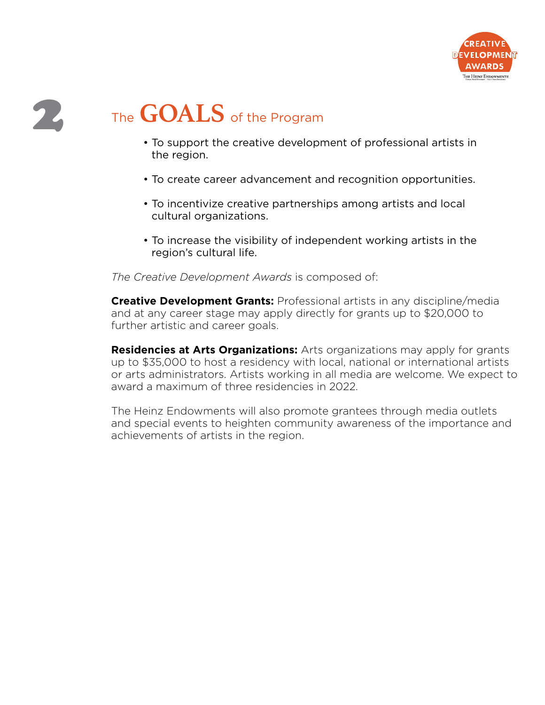

# 2 The **GOALS** of the Program

- To support the creative development of professional artists in the region.
- To create career advancement and recognition opportunities.
- To incentivize creative partnerships among artists and local cultural organizations.
- To increase the visibility of independent working artists in the region's cultural life.

*The Creative Development Awards* is composed of:

**Creative Development Grants:** Professional artists in any discipline/media and at any career stage may apply directly for grants up to \$20,000 to further artistic and career goals.

**Residencies at Arts Organizations:** Arts organizations may apply for grants up to \$35,000 to host a residency with local, national or international artists or arts administrators. Artists working in all media are welcome. We expect to award a maximum of three residencies in 2022.

The Heinz Endowments will also promote grantees through media outlets and special events to heighten community awareness of the importance and achievements of artists in the region.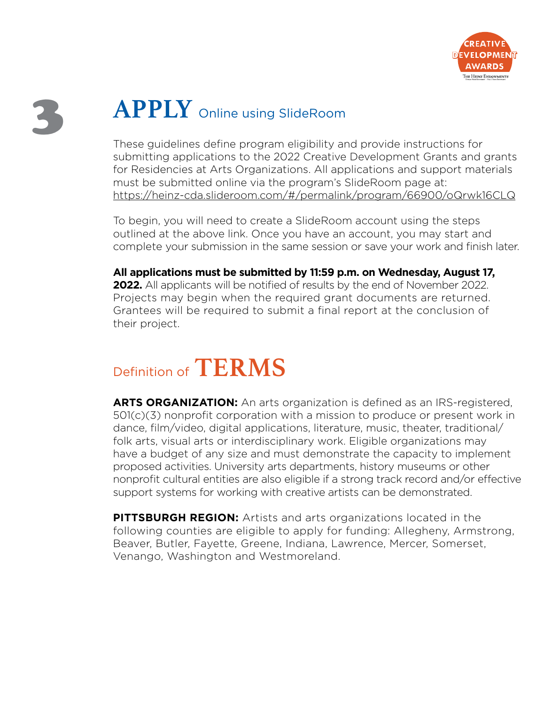

# **APPLY** Online using SlideRoom

These guidelines define program eligibility and provide instructions for submitting applications to the 2022 Creative Development Grants and grants for Residencies at Arts Organizations. All applications and support materials must be submitted online via the program's SlideRoom page at: <https://heinz-cda.slideroom.com/#/permalink/program/66900/oQrwk16CLQ>

To begin, you will need to create a SlideRoom account using the steps outlined at the above link. Once you have an account, you may start and complete your submission in the same session or save your work and finish later.

**All applications must be submitted by 11:59 p.m. on Wednesday, August 17, 2022.** All applicants will be notified of results by the end of November 2022. Projects may begin when the required grant documents are returned. Grantees will be required to submit a final report at the conclusion of their project.

# Definition of **TERMS**

**ARTS ORGANIZATION:** An arts organization is defined as an IRS-registered, 501(c)(3) nonprofit corporation with a mission to produce or present work in dance, film/video, digital applications, literature, music, theater, traditional/ folk arts, visual arts or interdisciplinary work. Eligible organizations may have a budget of any size and must demonstrate the capacity to implement proposed activities. University arts departments, history museums or other nonprofit cultural entities are also eligible if a strong track record and/or effective support systems for working with creative artists can be demonstrated.

**PITTSBURGH REGION:** Artists and arts organizations located in the following counties are eligible to apply for funding: Allegheny, Armstrong, Beaver, Butler, Fayette, Greene, Indiana, Lawrence, Mercer, Somerset, Venango, Washington and Westmoreland.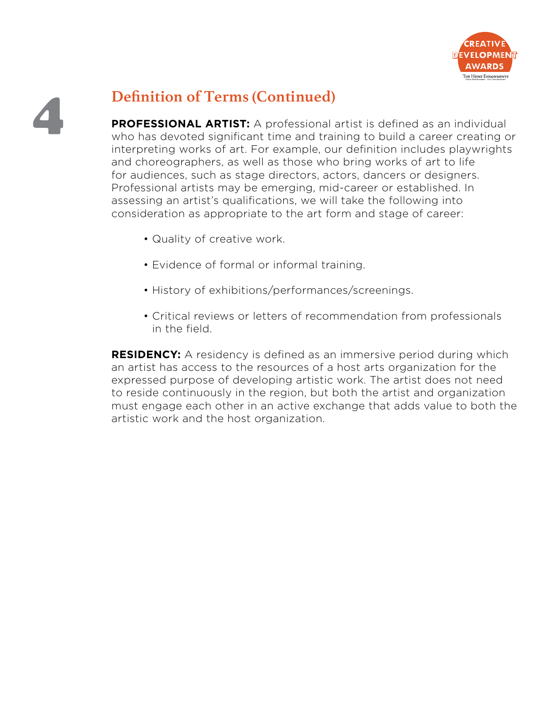

### 4 **Definition of Terms (Continued)**

**PROFESSIONAL ARTIST:** A professional artist is defined as an individual who has devoted significant time and training to build a career creating or interpreting works of art. For example, our definition includes playwrights and choreographers, as well as those who bring works of art to life for audiences, such as stage directors, actors, dancers or designers. Professional artists may be emerging, mid-career or established. In assessing an artist's qualifications, we will take the following into consideration as appropriate to the art form and stage of career:

- Quality of creative work.
- Evidence of formal or informal training.
- History of exhibitions/performances/screenings.
- Critical reviews or letters of recommendation from professionals in the field.

**RESIDENCY:** A residency is defined as an immersive period during which an artist has access to the resources of a host arts organization for the expressed purpose of developing artistic work. The artist does not need to reside continuously in the region, but both the artist and organization must engage each other in an active exchange that adds value to both the artistic work and the host organization.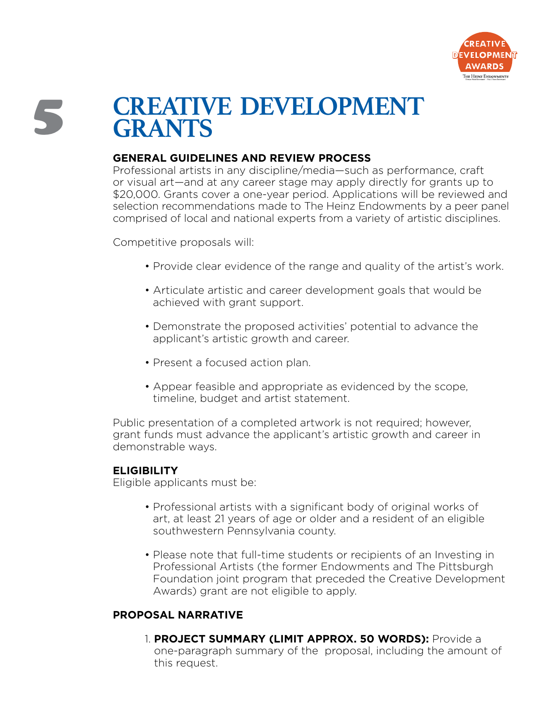

### 5 **CREATIVE DEVELOPMENT GRANTS**

#### **GENERAL GUIDELINES AND REVIEW PROCESS**

Professional artists in any discipline/media—such as performance, craft or visual art—and at any career stage may apply directly for grants up to \$20,000. Grants cover a one-year period. Applications will be reviewed and selection recommendations made to The Heinz Endowments by a peer panel comprised of local and national experts from a variety of artistic disciplines.

Competitive proposals will:

- Provide clear evidence of the range and quality of the artist's work.
- Articulate artistic and career development goals that would be achieved with grant support.
- Demonstrate the proposed activities' potential to advance the applicant's artistic growth and career.
- Present a focused action plan.
- Appear feasible and appropriate as evidenced by the scope, timeline, budget and artist statement.

Public presentation of a completed artwork is not required; however, grant funds must advance the applicant's artistic growth and career in demonstrable ways.

#### **ELIGIBILITY**

Eligible applicants must be:

- Professional artists with a significant body of original works of art, at least 21 years of age or older and a resident of an eligible southwestern Pennsylvania county.
- Please note that full-time students or recipients of an Investing in Professional Artists (the former Endowments and The Pittsburgh Foundation joint program that preceded the Creative Development Awards) grant are not eligible to apply.

#### **PROPOSAL NARRATIVE**

1. **PROJECT SUMMARY (LIMIT APPROX. 50 WORDS):** Provide a one-paragraph summary of the proposal, including the amount of this request.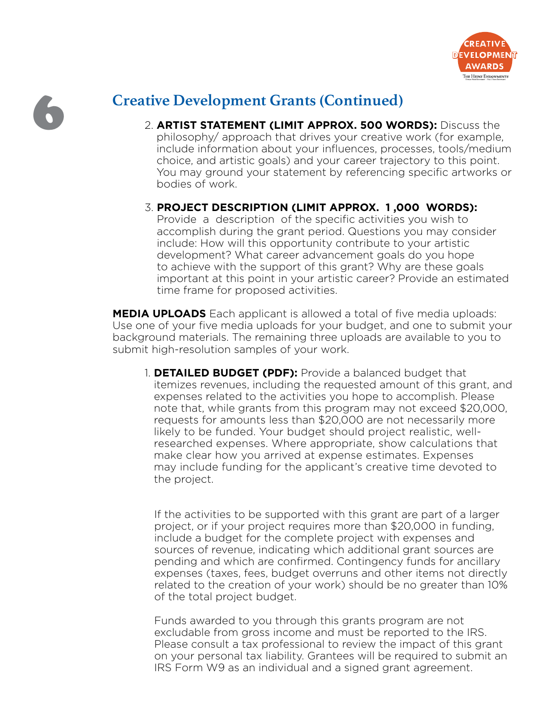

### 6 **Creative Development Grants (Continued)**

- 2. **ARTIST STATEMENT (LIMIT APPROX. 500 WORDS):** Discuss the philosophy/ approach that drives your creative work (for example, include information about your influences, processes, tools/medium choice, and artistic goals) and your career trajectory to this point. You may ground your statement by referencing specific artworks or bodies of work.
- 3. **PROJECT DESCRIPTION (LIMIT APPROX. 1 ,000 WORDS):** Provide a description of the specific activities you wish to accomplish during the grant period. Questions you may consider include: How will this opportunity contribute to your artistic development? What career advancement goals do you hope to achieve with the support of this grant? Why are these goals important at this point in your artistic career? Provide an estimated time frame for proposed activities.

**MEDIA UPLOADS** Each applicant is allowed a total of five media uploads: Use one of your five media uploads for your budget, and one to submit your background materials. The remaining three uploads are available to you to submit high-resolution samples of your work.

1. **DETAILED BUDGET (PDF):** Provide a balanced budget that itemizes revenues, including the requested amount of this grant, and expenses related to the activities you hope to accomplish. Please note that, while grants from this program may not exceed \$20,000, requests for amounts less than \$20,000 are not necessarily more likely to be funded. Your budget should project realistic, wellresearched expenses. Where appropriate, show calculations that make clear how you arrived at expense estimates. Expenses may include funding for the applicant's creative time devoted to the project.

 If the activities to be supported with this grant are part of a larger project, or if your project requires more than \$20,000 in funding, include a budget for the complete project with expenses and sources of revenue, indicating which additional grant sources are pending and which are confirmed. Contingency funds for ancillary expenses (taxes, fees, budget overruns and other items not directly related to the creation of your work) should be no greater than 10% of the total project budget.

 Funds awarded to you through this grants program are not excludable from gross income and must be reported to the IRS. Please consult a tax professional to review the impact of this grant on your personal tax liability. Grantees will be required to submit an IRS Form W9 as an individual and a signed grant agreement.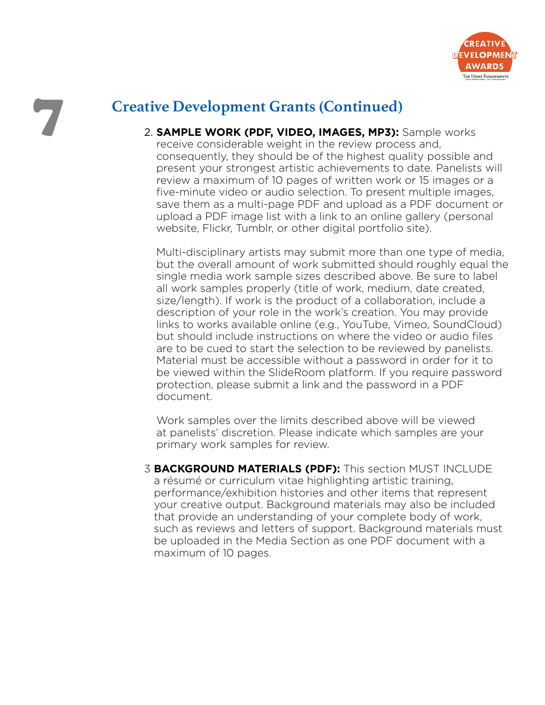

### **Creative Development Grants (Continued)**

2. **SAMPLE WORK (PDF, VIDEO, IMAGES, MP3):** Sample works receive considerable weight in the review process and, consequently, they should be of the highest quality possible and present your strongest artistic achievements to date. Panelists will review a maximum of 10 pages of written work or 15 images or a five-minute video or audio selection. To present multiple images, save them as a multi-page PDF and upload as a PDF document or upload a PDF image list with a link to an online gallery (personal website, Flickr, Tumblr, or other digital portfolio site).

Multi-disciplinary artists may submit more than one type of media, but the overall amount of work submitted should roughly equal the single media work sample sizes described above. Be sure to label all work samples properly (title of work, medium, date created, size/length). If work is the product of a collaboration, include a description of your role in the work's creation. You may provide links to works available online (e.g., YouTube, Vimeo, SoundCloud) but should include instructions on where the video or audio files are to be cued to start the selection to be reviewed by panelists. Material must be accessible without a password in order for it to be viewed within the SlideRoom platform. If you require password protection, please submit a link and the password in a PDF document.

Work samples over the limits described above will be viewed at panelists' discretion. Please indicate which samples are your primary work samples for review.

3 **BACKGROUND MATERIALS (PDF):** This section MUST INCLUDE a résumé or curriculum vitae highlighting artistic training, performance/exhibition histories and other items that represent your creative output. Background materials may also be included that provide an understanding of your complete body of work, such as reviews and letters of support. Background materials must be uploaded in the Media Section as one PDF document with a maximum of 10 pages.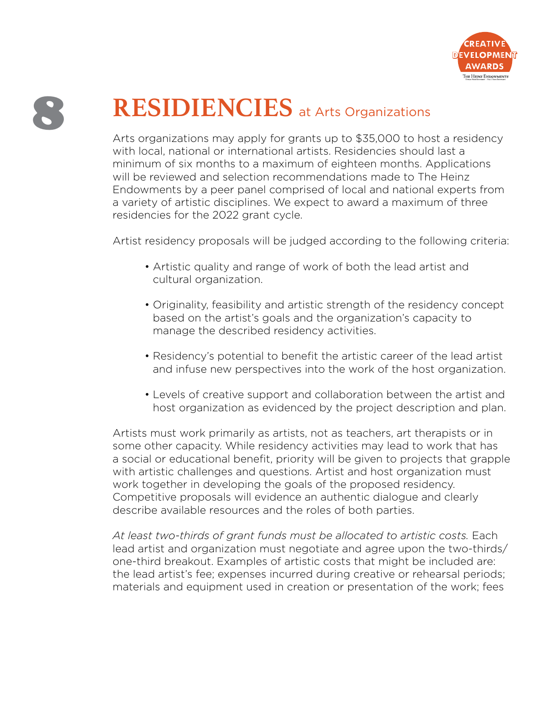

# 8 **RESIDIENCIES** at Arts Organizations

Arts organizations may apply for grants up to \$35,000 to host a residency with local, national or international artists. Residencies should last a minimum of six months to a maximum of eighteen months. Applications will be reviewed and selection recommendations made to The Heinz Endowments by a peer panel comprised of local and national experts from a variety of artistic disciplines. We expect to award a maximum of three residencies for the 2022 grant cycle.

Artist residency proposals will be judged according to the following criteria:

- Artistic quality and range of work of both the lead artist and cultural organization.
- Originality, feasibility and artistic strength of the residency concept based on the artist's goals and the organization's capacity to manage the described residency activities.
- Residency's potential to benefit the artistic career of the lead artist and infuse new perspectives into the work of the host organization.
- Levels of creative support and collaboration between the artist and host organization as evidenced by the project description and plan.

Artists must work primarily as artists, not as teachers, art therapists or in some other capacity. While residency activities may lead to work that has a social or educational benefit, priority will be given to projects that grapple with artistic challenges and questions. Artist and host organization must work together in developing the goals of the proposed residency. Competitive proposals will evidence an authentic dialogue and clearly describe available resources and the roles of both parties.

*At least two-thirds of grant funds must be allocated to artistic costs.* Each lead artist and organization must negotiate and agree upon the two-thirds/ one-third breakout. Examples of artistic costs that might be included are: the lead artist's fee; expenses incurred during creative or rehearsal periods; materials and equipment used in creation or presentation of the work; fees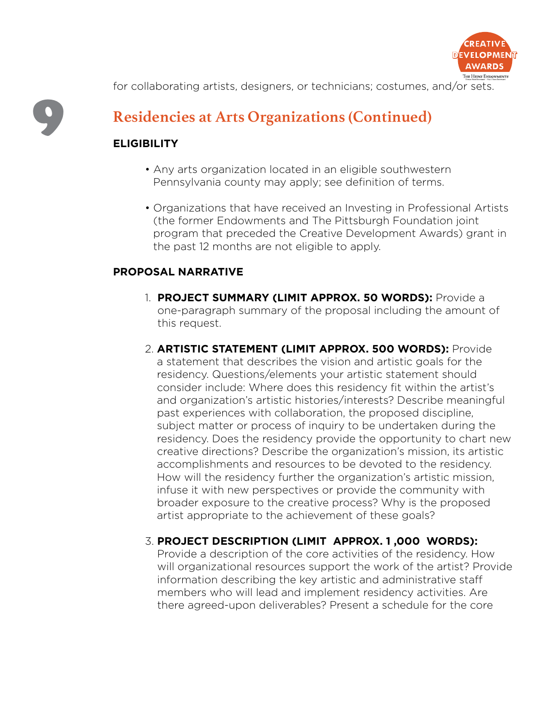

for collaborating artists, designers, or technicians; costumes, and/or sets.

# 9

### **Residencies at Arts Organizations (Continued)**

### **ELIGIBILITY**

- Any arts organization located in an eligible southwestern Pennsylvania county may apply; see definition of terms.
- Organizations that have received an Investing in Professional Artists (the former Endowments and The Pittsburgh Foundation joint program that preceded the Creative Development Awards) grant in the past 12 months are not eligible to apply.

#### **PROPOSAL NARRATIVE**

- 1. **PROJECT SUMMARY (LIMIT APPROX. 50 WORDS):** Provide a one-paragraph summary of the proposal including the amount of this request.
- 2. **ARTISTIC STATEMENT (LIMIT APPROX. 500 WORDS):** Provide a statement that describes the vision and artistic goals for the residency. Questions/elements your artistic statement should consider include: Where does this residency fit within the artist's and organization's artistic histories/interests? Describe meaningful past experiences with collaboration, the proposed discipline, subject matter or process of inquiry to be undertaken during the residency. Does the residency provide the opportunity to chart new creative directions? Describe the organization's mission, its artistic accomplishments and resources to be devoted to the residency. How will the residency further the organization's artistic mission, infuse it with new perspectives or provide the community with broader exposure to the creative process? Why is the proposed artist appropriate to the achievement of these goals?

### 3. **PROJECT DESCRIPTION (LIMIT APPROX. 1 ,000 WORDS):**

Provide a description of the core activities of the residency. How will organizational resources support the work of the artist? Provide information describing the key artistic and administrative staff members who will lead and implement residency activities. Are there agreed-upon deliverables? Present a schedule for the core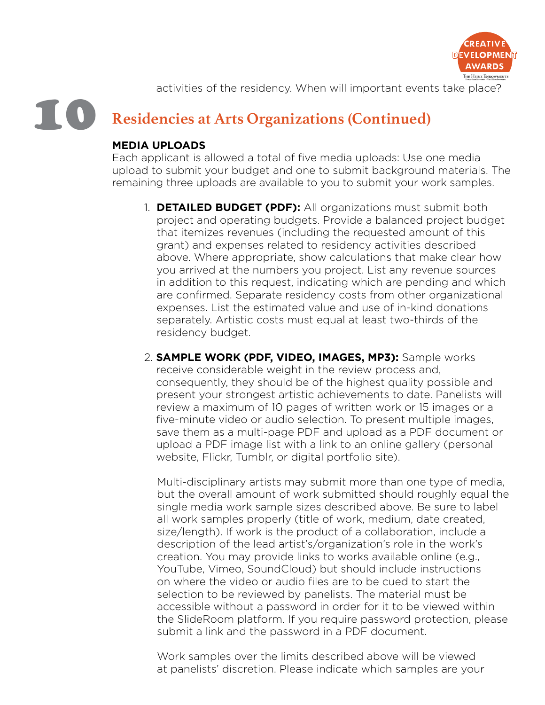

activities of the residency. When will important events take place?

#### 10 **Residencies at Arts Organizations (Continued)**

#### **MEDIA UPLOADS**

Each applicant is allowed a total of five media uploads: Use one media upload to submit your budget and one to submit background materials. The remaining three uploads are available to you to submit your work samples.

- 1. **DETAILED BUDGET (PDF):** All organizations must submit both project and operating budgets. Provide a balanced project budget that itemizes revenues (including the requested amount of this grant) and expenses related to residency activities described above. Where appropriate, show calculations that make clear how you arrived at the numbers you project. List any revenue sources in addition to this request, indicating which are pending and which are confirmed. Separate residency costs from other organizational expenses. List the estimated value and use of in-kind donations separately. Artistic costs must equal at least two-thirds of the residency budget.
- 2. **SAMPLE WORK (PDF, VIDEO, IMAGES, MP3):** Sample works receive considerable weight in the review process and, consequently, they should be of the highest quality possible and present your strongest artistic achievements to date. Panelists will review a maximum of 10 pages of written work or 15 images or a five-minute video or audio selection. To present multiple images, save them as a multi-page PDF and upload as a PDF document or upload a PDF image list with a link to an online gallery (personal website, Flickr, Tumblr, or digital portfolio site).

 Multi-disciplinary artists may submit more than one type of media, but the overall amount of work submitted should roughly equal the single media work sample sizes described above. Be sure to label all work samples properly (title of work, medium, date created, size/length). If work is the product of a collaboration, include a description of the lead artist's/organization's role in the work's creation. You may provide links to works available online (e.g., YouTube, Vimeo, SoundCloud) but should include instructions on where the video or audio files are to be cued to start the selection to be reviewed by panelists. The material must be accessible without a password in order for it to be viewed within the SlideRoom platform. If you require password protection, please submit a link and the password in a PDF document.

 Work samples over the limits described above will be viewed at panelists' discretion. Please indicate which samples are your